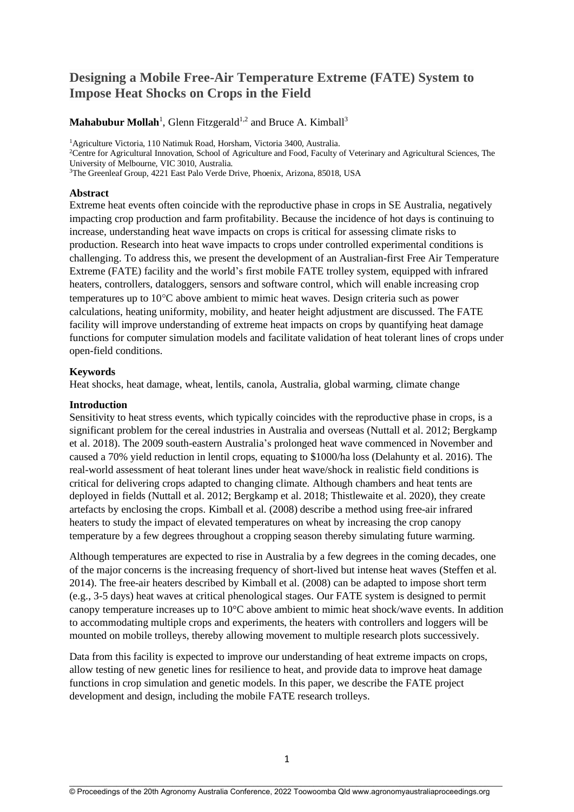# **Designing a Mobile Free-Air Temperature Extreme (FATE) System to Impose Heat Shocks on Crops in the Field**

# Mahabubur Mollah<sup>1</sup>, Glenn Fitzgerald<sup>1,2</sup> and Bruce A. Kimball<sup>3</sup>

<sup>1</sup>Agriculture Victoria, 110 Natimuk Road, Horsham, Victoria 3400, Australia.

<sup>2</sup>Centre for Agricultural Innovation, School of Agriculture and Food, Faculty of Veterinary and Agricultural Sciences, The University of Melbourne, VIC 3010, Australia.

<sup>3</sup>The Greenleaf Group, 4221 East Palo Verde Drive, Phoenix, Arizona, 85018, USA

#### **Abstract**

Extreme heat events often coincide with the reproductive phase in crops in SE Australia, negatively impacting crop production and farm profitability. Because the incidence of hot days is continuing to increase, understanding heat wave impacts on crops is critical for assessing climate risks to production. Research into heat wave impacts to crops under controlled experimental conditions is challenging. To address this, we present the development of an Australian-first Free Air Temperature Extreme (FATE) facility and the world's first mobile FATE trolley system, equipped with infrared heaters, controllers, dataloggers, sensors and software control, which will enable increasing crop temperatures up to 10C above ambient to mimic heat waves. Design criteria such as power calculations, heating uniformity, mobility, and heater height adjustment are discussed. The FATE facility will improve understanding of extreme heat impacts on crops by quantifying heat damage functions for computer simulation models and facilitate validation of heat tolerant lines of crops under open-field conditions.

## **Keywords**

Heat shocks, heat damage, wheat, lentils, canola, Australia, global warming, climate change

#### **Introduction**

Sensitivity to heat stress events, which typically coincides with the reproductive phase in crops, is a significant problem for the cereal industries in Australia and overseas (Nuttall et al. 2012; [Bergkamp](https://www.sciencedirect.com/science/article/abs/pii/S0378429017315630#!) et al. 2018). The 2009 south-eastern Australia's prolonged heat wave commenced in November and caused a 70% yield reduction in lentil crops, equating to \$1000/ha loss (Delahunty et al. 2016). The real-world assessment of heat tolerant lines under heat wave/shock in realistic field conditions is critical for delivering crops adapted to changing climate. Although chambers and heat tents are deployed in fields (Nuttall et al. 2012; [Bergkamp](https://www.sciencedirect.com/science/article/abs/pii/S0378429017315630#!) et al. 2018; Thistlewaite et al. 2020), they create artefacts by enclosing the crops. Kimball et al. (2008) describe a method using free-air infrared heaters to study the impact of elevated temperatures on wheat by increasing the crop canopy temperature by a few degrees throughout a cropping season thereby simulating future warming.

Although temperatures are expected to rise in Australia by a few degrees in the coming decades, one of the major concerns is the increasing frequency of short-lived but intense heat waves (Steffen et al. 2014). The free-air heaters described by Kimball et al. (2008) can be adapted to impose short term (e.g., 3-5 days) heat waves at critical phenological stages. Our FATE system is designed to permit canopy temperature increases up to 10°C above ambient to mimic heat shock/wave events. In addition to accommodating multiple crops and experiments, the heaters with controllers and loggers will be mounted on mobile trolleys, thereby allowing movement to multiple research plots successively.

Data from this facility is expected to improve our understanding of heat extreme impacts on crops, allow testing of new genetic lines for resilience to heat, and provide data to improve heat damage functions in crop simulation and genetic models. In this paper, we describe the FATE project development and design, including the mobile FATE research trolleys.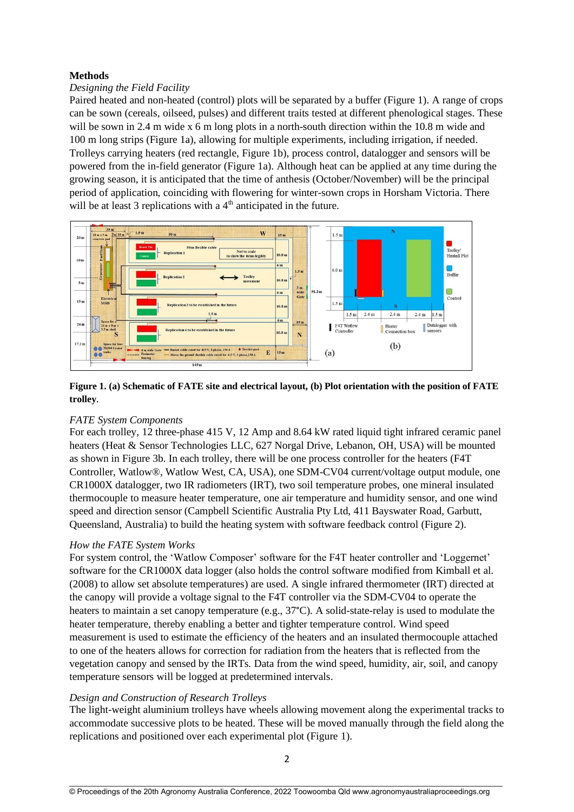## **Methods**

## *Designing the Field Facility*

Paired heated and non-heated (control) plots will be separated by a buffer (Figure 1). A range of crops can be sown (cereals, oilseed, pulses) and different traits tested at different phenological stages. These will be sown in 2.4 m wide x 6 m long plots in a north-south direction within the 10.8 m wide and 100 m long strips (Figure 1a), allowing for multiple experiments, including irrigation, if needed. Trolleys carrying heaters (red rectangle, Figure 1b), process control, datalogger and sensors will be powered from the in-field generator (Figure 1a). Although heat can be applied at any time during the growing season, it is anticipated that the time of anthesis (October/November) will be the principal period of application, coinciding with flowering for winter-sown crops in Horsham Victoria. There will be at least 3 replications with a  $4<sup>th</sup>$  anticipated in the future.



# **Figure 1. (a) Schematic of FATE site and electrical layout, (b) Plot orientation with the position of FATE trolley**.

#### *FATE System Components*

For each trolley, 12 three-phase 415 V, 12 Amp and 8.64 kW rated liquid tight infrared ceramic panel heaters (Heat & Sensor Technologies LLC, 627 Norgal Drive, Lebanon, OH, USA) will be mounted as shown in Figure 3b. In each trolley, there will be one process controller for the heaters (F4T Controller, Watlow®, Watlow West, CA, USA), one SDM-CV04 current/voltage output module, one CR1000X datalogger, two IR radiometers (IRT), two soil temperature probes, one mineral insulated thermocouple to measure heater temperature, one air temperature and humidity sensor, and one wind speed and direction sensor (Campbell Scientific Australia Pty Ltd, 411 Bayswater Road, Garbutt, Queensland, Australia) to build the heating system with software feedback control (Figure 2).

#### *How the FATE System Works*

For system control, the 'Watlow Composer' software for the F4T heater controller and 'Loggernet' software for the CR1000X data logger (also holds the control software modified from Kimball et al. (2008) to allow set absolute temperatures) are used. A single infrared thermometer (IRT) directed at the canopy will provide a voltage signal to the F4T controller via the SDM-CV04 to operate the heaters to maintain a set canopy temperature (e.g., 37°C). A solid-state-relay is used to modulate the heater temperature, thereby enabling a better and tighter temperature control. Wind speed measurement is used to estimate the efficiency of the heaters and an insulated thermocouple attached to one of the heaters allows for correction for radiation from the heaters that is reflected from the vegetation canopy and sensed by the IRTs. Data from the wind speed, humidity, air, soil, and canopy temperature sensors will be logged at predetermined intervals.

#### *Design and Construction of Research Trolleys*

The light-weight aluminium trolleys have wheels allowing movement along the experimental tracks to accommodate successive plots to be heated. These will be moved manually through the field along the replications and positioned over each experimental plot (Figure 1).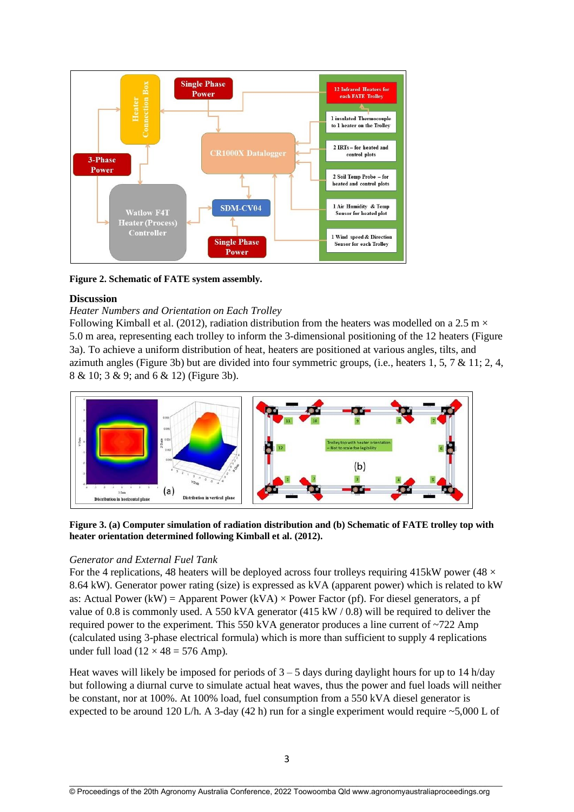

**Figure 2. Schematic of FATE system assembly.**

## **Discussion**

## *Heater Numbers and Orientation on Each Trolley*

Following Kimball et al. (2012), radiation distribution from the heaters was modelled on a 2.5 m  $\times$ 5.0 m area, representing each trolley to inform the 3-dimensional positioning of the 12 heaters (Figure 3a). To achieve a uniform distribution of heat, heaters are positioned at various angles, tilts, and azimuth angles (Figure 3b) but are divided into four symmetric groups, (i.e., heaters 1, 5, 7 & 11; 2, 4, 8 & 10; 3 & 9; and 6 & 12) (Figure 3b).



**Figure 3. (a) Computer simulation of radiation distribution and (b) Schematic of FATE trolley top with heater orientation determined following Kimball et al. (2012).**

#### *Generator and External Fuel Tank*

For the 4 replications, 48 heaters will be deployed across four trolleys requiring 415kW power (48  $\times$ 8.64 kW). Generator power rating (size) is expressed as kVA (apparent power) which is related to kW as: Actual Power (kW) = Apparent Power (kVA)  $\times$  Power Factor (pf). For diesel generators, a pf value of 0.8 is commonly used. A 550 kVA generator (415 kW / 0.8) will be required to deliver the required power to the experiment. This 550 kVA generator produces a line current of  $\sim$ 722 Amp (calculated using 3-phase electrical formula) which is more than sufficient to supply 4 replications under full load  $(12 \times 48 = 576$  Amp).

Heat waves will likely be imposed for periods of  $3 - 5$  days during daylight hours for up to 14 h/day but following a diurnal curve to simulate actual heat waves, thus the power and fuel loads will neither be constant, nor at 100%. At 100% load, fuel consumption from a 550 kVA diesel generator is expected to be around 120 L/h. A 3-day (42 h) run for a single experiment would require  $\sim$  5,000 L of